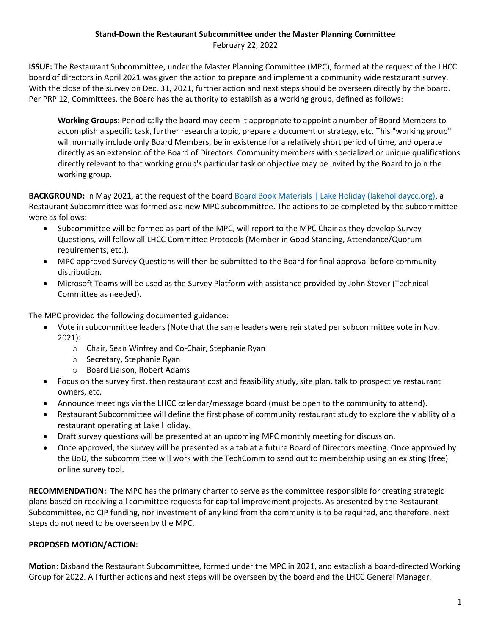## **Stand-Down the Restaurant Subcommittee under the Master Planning Committee**

February 22, 2022

**ISSUE:** The Restaurant Subcommittee, under the Master Planning Committee (MPC), formed at the request of the LHCC board of directors in April 2021 was given the action to prepare and implement a community wide restaurant survey. With the close of the survey on Dec. 31, 2021, further action and next steps should be overseen directly by the board. Per PRP 12, Committees, the Board has the authority to establish as a working group, defined as follows:

**Working Groups:** Periodically the board may deem it appropriate to appoint a number of Board Members to accomplish a specific task, further research a topic, prepare a document or strategy, etc. This "working group" will normally include only Board Members, be in existence for a relatively short period of time, and operate directly as an extension of the Board of Directors. Community members with specialized or unique qualifications directly relevant to that working group's particular task or objective may be invited by the Board to join the working group.

**BACKGROUND:** In May 2021, at the request of the boar[d Board Book Materials | Lake Holiday \(lakeholidaycc.org\),](https://lakeholidaycc.org/board-book-materials/#gallery-2-1-3348-11) a Restaurant Subcommittee was formed as a new MPC subcommittee. The actions to be completed by the subcommittee were as follows:

- Subcommittee will be formed as part of the MPC, will report to the MPC Chair as they develop Survey Questions, will follow all LHCC Committee Protocols (Member in Good Standing, Attendance/Quorum requirements, etc.).
- MPC approved Survey Questions will then be submitted to the Board for final approval before community distribution.
- Microsoft Teams will be used as the Survey Platform with assistance provided by John Stover (Technical Committee as needed).

The MPC provided the following documented guidance:

- Vote in subcommittee leaders (Note that the same leaders were reinstated per subcommittee vote in Nov. 2021):
	- o Chair, Sean Winfrey and Co-Chair, Stephanie Ryan
	- o Secretary, Stephanie Ryan
	- o Board Liaison, Robert Adams
- Focus on the survey first, then restaurant cost and feasibility study, site plan, talk to prospective restaurant owners, etc.
- Announce meetings via the LHCC calendar/message board (must be open to the community to attend).
- Restaurant Subcommittee will define the first phase of community restaurant study to explore the viability of a restaurant operating at Lake Holiday.
- Draft survey questions will be presented at an upcoming MPC monthly meeting for discussion.
- Once approved, the survey will be presented as a tab at a future Board of Directors meeting. Once approved by the BoD, the subcommittee will work with the TechComm to send out to membership using an existing (free) online survey tool.

**RECOMMENDATION:** The MPC has the primary charter to serve as the committee responsible for creating strategic plans based on receiving all committee requests for capital improvement projects. As presented by the Restaurant Subcommittee, no CIP funding, nor investment of any kind from the community is to be required, and therefore, next steps do not need to be overseen by the MPC.

## **PROPOSED MOTION/ACTION:**

**Motion:** Disband the Restaurant Subcommittee, formed under the MPC in 2021, and establish a board-directed Working Group for 2022. All further actions and next steps will be overseen by the board and the LHCC General Manager.